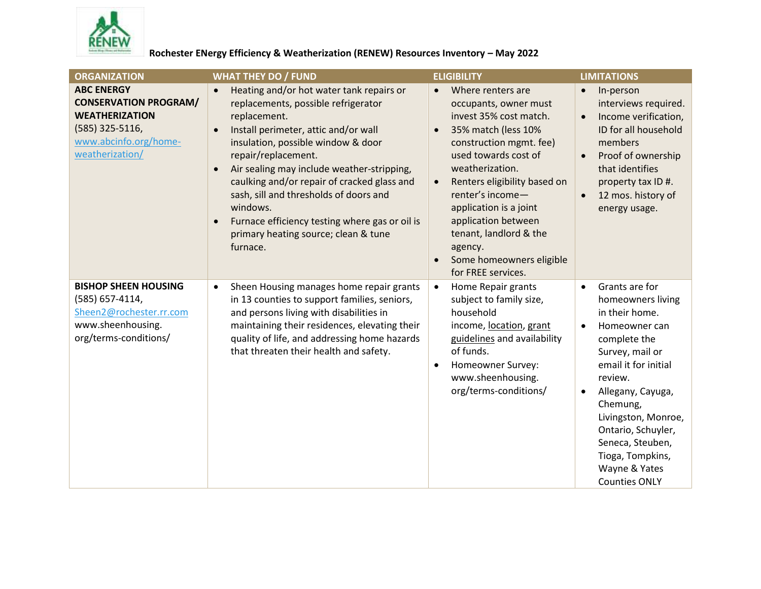

## Rochester ENergy Efficiency & Weatherization (RENEW) Resources Inventory - May 2022

| <b>ORGANIZATION</b>                                                                                                                       | <b>WHAT THEY DO / FUND</b>                                                                                                                                                                                                                                                                                                                                                                                                                                                                                        | <b>ELIGIBILITY</b>                                                                                                                                                                                                                                                                                                                                                                                   | <b>LIMITATIONS</b>                                                                                                                                                                                                                                                                                                                                 |
|-------------------------------------------------------------------------------------------------------------------------------------------|-------------------------------------------------------------------------------------------------------------------------------------------------------------------------------------------------------------------------------------------------------------------------------------------------------------------------------------------------------------------------------------------------------------------------------------------------------------------------------------------------------------------|------------------------------------------------------------------------------------------------------------------------------------------------------------------------------------------------------------------------------------------------------------------------------------------------------------------------------------------------------------------------------------------------------|----------------------------------------------------------------------------------------------------------------------------------------------------------------------------------------------------------------------------------------------------------------------------------------------------------------------------------------------------|
| <b>ABC ENERGY</b><br><b>CONSERVATION PROGRAM/</b><br><b>WEATHERIZATION</b><br>(585) 325-5116,<br>www.abcinfo.org/home-<br>weatherization/ | Heating and/or hot water tank repairs or<br>$\bullet$<br>replacements, possible refrigerator<br>replacement.<br>Install perimeter, attic and/or wall<br>$\bullet$<br>insulation, possible window & door<br>repair/replacement.<br>Air sealing may include weather-stripping,<br>$\bullet$<br>caulking and/or repair of cracked glass and<br>sash, sill and thresholds of doors and<br>windows.<br>Furnace efficiency testing where gas or oil is<br>$\bullet$<br>primary heating source; clean & tune<br>furnace. | Where renters are<br>$\bullet$<br>occupants, owner must<br>invest 35% cost match.<br>35% match (less 10%<br>$\bullet$<br>construction mgmt. fee)<br>used towards cost of<br>weatherization.<br>Renters eligibility based on<br>$\bullet$<br>renter's income-<br>application is a joint<br>application between<br>tenant, landlord & the<br>agency.<br>Some homeowners eligible<br>for FREE services. | In-person<br>$\bullet$<br>interviews required.<br>Income verification,<br>$\bullet$<br>ID for all household<br>members<br>Proof of ownership<br>$\bullet$<br>that identifies<br>property tax ID #.<br>12 mos. history of<br>$\bullet$<br>energy usage.                                                                                             |
| <b>BISHOP SHEEN HOUSING</b><br>(585) 657-4114,<br>Sheen2@rochester.rr.com<br>www.sheenhousing.<br>org/terms-conditions/                   | Sheen Housing manages home repair grants<br>$\bullet$<br>in 13 counties to support families, seniors,<br>and persons living with disabilities in<br>maintaining their residences, elevating their<br>quality of life, and addressing home hazards<br>that threaten their health and safety.                                                                                                                                                                                                                       | Home Repair grants<br>$\bullet$<br>subject to family size,<br>household<br>income, location, grant<br>guidelines and availability<br>of funds.<br>Homeowner Survey:<br>$\bullet$<br>www.sheenhousing.<br>org/terms-conditions/                                                                                                                                                                       | Grants are for<br>$\bullet$<br>homeowners living<br>in their home.<br>Homeowner can<br>$\bullet$<br>complete the<br>Survey, mail or<br>email it for initial<br>review.<br>Allegany, Cayuga,<br>$\bullet$<br>Chemung,<br>Livingston, Monroe,<br>Ontario, Schuyler,<br>Seneca, Steuben,<br>Tioga, Tompkins,<br>Wayne & Yates<br><b>Counties ONLY</b> |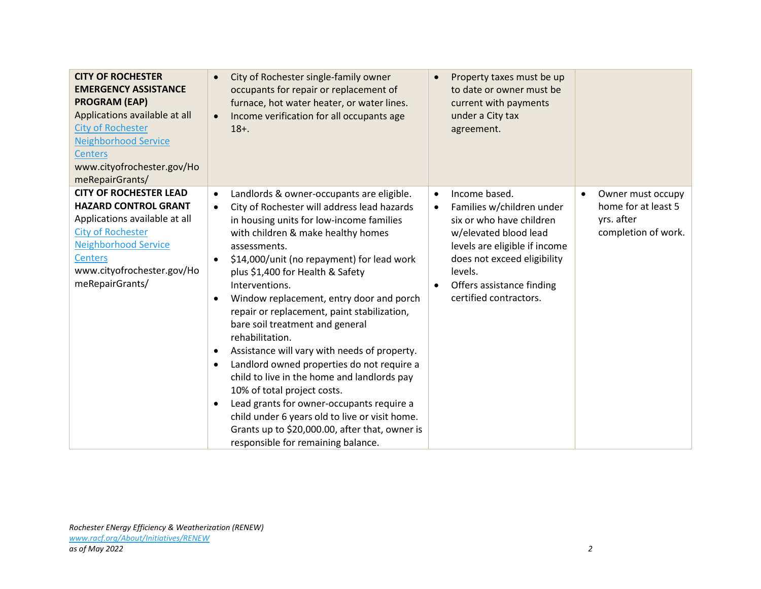| <b>CITY OF ROCHESTER</b><br><b>EMERGENCY ASSISTANCE</b><br><b>PROGRAM (EAP)</b><br>Applications available at all<br><b>City of Rochester</b><br><b>Neighborhood Service</b><br><b>Centers</b><br>www.cityofrochester.gov/Ho<br>meRepairGrants/ | City of Rochester single-family owner<br>$\bullet$<br>occupants for repair or replacement of<br>furnace, hot water heater, or water lines.<br>Income verification for all occupants age<br>$\bullet$<br>$18+$ .                                                                                                                                                                                                                                                                                                                                                                                                                                                                                                                                                                                                                                                                                               | Property taxes must be up<br>$\bullet$<br>to date or owner must be<br>current with payments<br>under a City tax<br>agreement.                                                                                                                               |                                                                               |
|------------------------------------------------------------------------------------------------------------------------------------------------------------------------------------------------------------------------------------------------|---------------------------------------------------------------------------------------------------------------------------------------------------------------------------------------------------------------------------------------------------------------------------------------------------------------------------------------------------------------------------------------------------------------------------------------------------------------------------------------------------------------------------------------------------------------------------------------------------------------------------------------------------------------------------------------------------------------------------------------------------------------------------------------------------------------------------------------------------------------------------------------------------------------|-------------------------------------------------------------------------------------------------------------------------------------------------------------------------------------------------------------------------------------------------------------|-------------------------------------------------------------------------------|
| <b>CITY OF ROCHESTER LEAD</b><br><b>HAZARD CONTROL GRANT</b><br>Applications available at all<br><b>City of Rochester</b><br><b>Neighborhood Service</b><br><b>Centers</b><br>www.cityofrochester.gov/Ho<br>meRepairGrants/                    | Landlords & owner-occupants are eligible.<br>$\bullet$<br>City of Rochester will address lead hazards<br>$\bullet$<br>in housing units for low-income families<br>with children & make healthy homes<br>assessments.<br>\$14,000/unit (no repayment) for lead work<br>$\bullet$<br>plus \$1,400 for Health & Safety<br>Interventions.<br>Window replacement, entry door and porch<br>$\bullet$<br>repair or replacement, paint stabilization,<br>bare soil treatment and general<br>rehabilitation.<br>Assistance will vary with needs of property.<br>$\bullet$<br>Landlord owned properties do not require a<br>$\bullet$<br>child to live in the home and landlords pay<br>10% of total project costs.<br>Lead grants for owner-occupants require a<br>$\bullet$<br>child under 6 years old to live or visit home.<br>Grants up to \$20,000.00, after that, owner is<br>responsible for remaining balance. | Income based.<br>$\bullet$<br>Families w/children under<br>$\bullet$<br>six or who have children<br>w/elevated blood lead<br>levels are eligible if income<br>does not exceed eligibility<br>levels.<br>Offers assistance finding<br>certified contractors. | Owner must occupy<br>home for at least 5<br>yrs. after<br>completion of work. |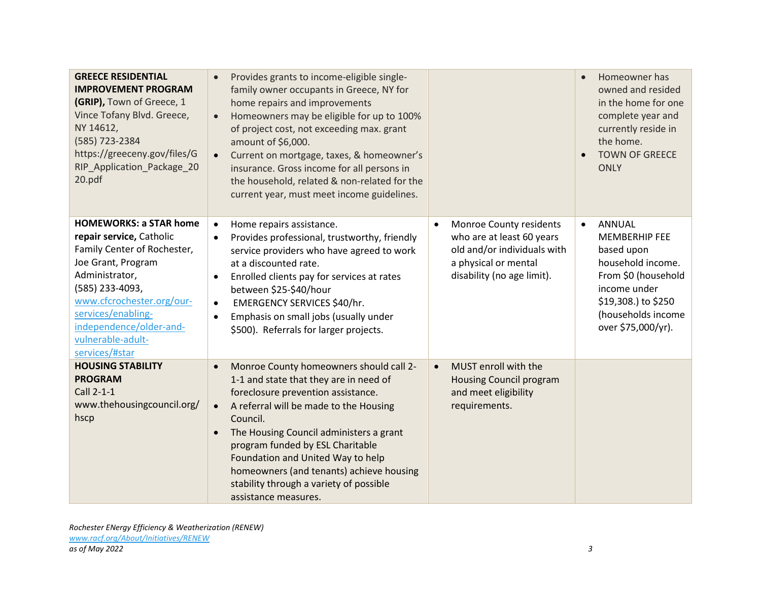| <b>GREECE RESIDENTIAL</b><br><b>IMPROVEMENT PROGRAM</b><br>(GRIP), Town of Greece, 1<br>Vince Tofany Blvd. Greece,<br>NY 14612,<br>(585) 723-2384<br>https://greeceny.gov/files/G<br>RIP_Application_Package_20<br>20.pdf                                                | Provides grants to income-eligible single-<br>family owner occupants in Greece, NY for<br>home repairs and improvements<br>Homeowners may be eligible for up to 100%<br>of project cost, not exceeding max. grant<br>amount of \$6,000.<br>Current on mortgage, taxes, & homeowner's<br>insurance. Gross income for all persons in<br>the household, related & non-related for the<br>current year, must meet income guidelines.           |                                                                                                                                                        | Homeowner has<br>owned and resided<br>in the home for one<br>complete year and<br>currently reside in<br>the home.<br><b>TOWN OF GREECE</b><br><b>ONLY</b>                                      |
|--------------------------------------------------------------------------------------------------------------------------------------------------------------------------------------------------------------------------------------------------------------------------|--------------------------------------------------------------------------------------------------------------------------------------------------------------------------------------------------------------------------------------------------------------------------------------------------------------------------------------------------------------------------------------------------------------------------------------------|--------------------------------------------------------------------------------------------------------------------------------------------------------|-------------------------------------------------------------------------------------------------------------------------------------------------------------------------------------------------|
| <b>HOMEWORKS: a STAR home</b><br>repair service, Catholic<br>Family Center of Rochester,<br>Joe Grant, Program<br>Administrator,<br>(585) 233-4093,<br>www.cfcrochester.org/our-<br>services/enabling-<br>independence/older-and-<br>vulnerable-adult-<br>services/#star | Home repairs assistance.<br>$\bullet$<br>Provides professional, trustworthy, friendly<br>$\bullet$<br>service providers who have agreed to work<br>at a discounted rate.<br>Enrolled clients pay for services at rates<br>$\bullet$<br>between \$25-\$40/hour<br>EMERGENCY SERVICES \$40/hr.<br>$\bullet$<br>Emphasis on small jobs (usually under<br>$\bullet$<br>\$500). Referrals for larger projects.                                  | Monroe County residents<br>$\bullet$<br>who are at least 60 years<br>old and/or individuals with<br>a physical or mental<br>disability (no age limit). | <b>ANNUAL</b><br>$\bullet$<br><b>MEMBERHIP FEE</b><br>based upon<br>household income.<br>From \$0 (household<br>income under<br>\$19,308.) to \$250<br>(households income<br>over \$75,000/yr). |
| <b>HOUSING STABILITY</b><br><b>PROGRAM</b><br>Call 2-1-1<br>www.thehousingcouncil.org/<br>hscp                                                                                                                                                                           | Monroe County homeowners should call 2-<br>$\bullet$<br>1-1 and state that they are in need of<br>foreclosure prevention assistance.<br>A referral will be made to the Housing<br>$\bullet$<br>Council.<br>The Housing Council administers a grant<br>program funded by ESL Charitable<br>Foundation and United Way to help<br>homeowners (and tenants) achieve housing<br>stability through a variety of possible<br>assistance measures. | MUST enroll with the<br>$\bullet$<br><b>Housing Council program</b><br>and meet eligibility<br>requirements.                                           |                                                                                                                                                                                                 |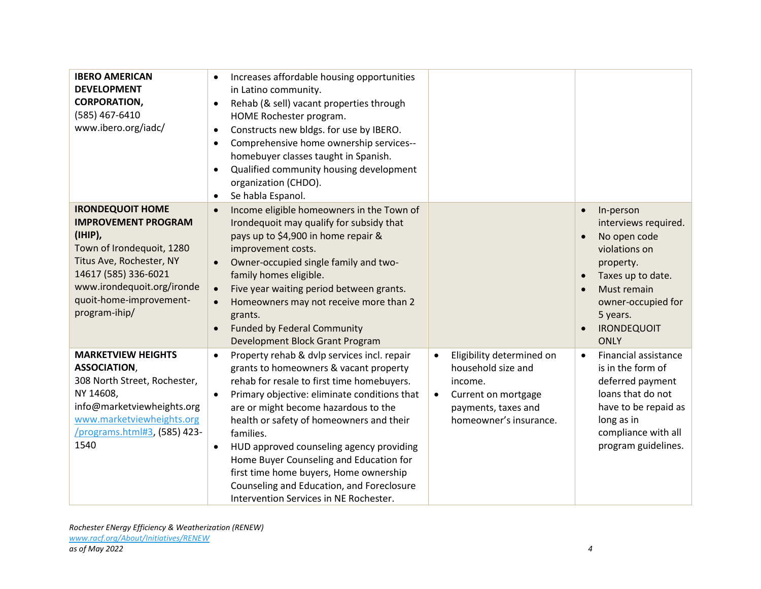| <b>IBERO AMERICAN</b><br><b>DEVELOPMENT</b><br><b>CORPORATION,</b><br>(585) 467-6410<br>www.ibero.org/iadc/                                                                                                                 | Increases affordable housing opportunities<br>in Latino community.<br>Rehab (& sell) vacant properties through<br>$\bullet$<br>HOME Rochester program.<br>Constructs new bldgs. for use by IBERO.<br>$\bullet$<br>Comprehensive home ownership services--<br>$\bullet$<br>homebuyer classes taught in Spanish.<br>Qualified community housing development<br>$\bullet$<br>organization (CHDO).<br>Se habla Espanol.<br>$\bullet$                                                                                                                    |                                                                                                                                                              |                                                                                                                                                                                            |
|-----------------------------------------------------------------------------------------------------------------------------------------------------------------------------------------------------------------------------|-----------------------------------------------------------------------------------------------------------------------------------------------------------------------------------------------------------------------------------------------------------------------------------------------------------------------------------------------------------------------------------------------------------------------------------------------------------------------------------------------------------------------------------------------------|--------------------------------------------------------------------------------------------------------------------------------------------------------------|--------------------------------------------------------------------------------------------------------------------------------------------------------------------------------------------|
| <b>IRONDEQUOIT HOME</b><br><b>IMPROVEMENT PROGRAM</b><br>(IHIP),<br>Town of Irondequoit, 1280<br>Titus Ave, Rochester, NY<br>14617 (585) 336-6021<br>www.irondequoit.org/ironde<br>quoit-home-improvement-<br>program-ihip/ | Income eligible homeowners in the Town of<br>$\bullet$<br>Irondequoit may qualify for subsidy that<br>pays up to \$4,900 in home repair &<br>improvement costs.<br>Owner-occupied single family and two-<br>family homes eligible.<br>Five year waiting period between grants.<br>$\bullet$<br>Homeowners may not receive more than 2<br>grants.<br><b>Funded by Federal Community</b><br>$\bullet$<br>Development Block Grant Program                                                                                                              |                                                                                                                                                              | In-person<br>interviews required.<br>No open code<br>violations on<br>property.<br>Taxes up to date.<br>Must remain<br>owner-occupied for<br>5 years.<br><b>IRONDEQUOIT</b><br><b>ONLY</b> |
| <b>MARKETVIEW HEIGHTS</b><br><b>ASSOCIATION,</b><br>308 North Street, Rochester,<br>NY 14608,<br>info@marketviewheights.org<br>www.marketviewheights.org<br>/programs.html#3, (585) 423-<br>1540                            | Property rehab & dvlp services incl. repair<br>$\bullet$<br>grants to homeowners & vacant property<br>rehab for resale to first time homebuyers.<br>Primary objective: eliminate conditions that<br>$\bullet$<br>are or might become hazardous to the<br>health or safety of homeowners and their<br>families.<br>HUD approved counseling agency providing<br>$\bullet$<br>Home Buyer Counseling and Education for<br>first time home buyers, Home ownership<br>Counseling and Education, and Foreclosure<br>Intervention Services in NE Rochester. | Eligibility determined on<br>$\bullet$<br>household size and<br>income.<br>Current on mortgage<br>$\bullet$<br>payments, taxes and<br>homeowner's insurance. | Financial assistance<br>$\bullet$<br>is in the form of<br>deferred payment<br>loans that do not<br>have to be repaid as<br>long as in<br>compliance with all<br>program guidelines.        |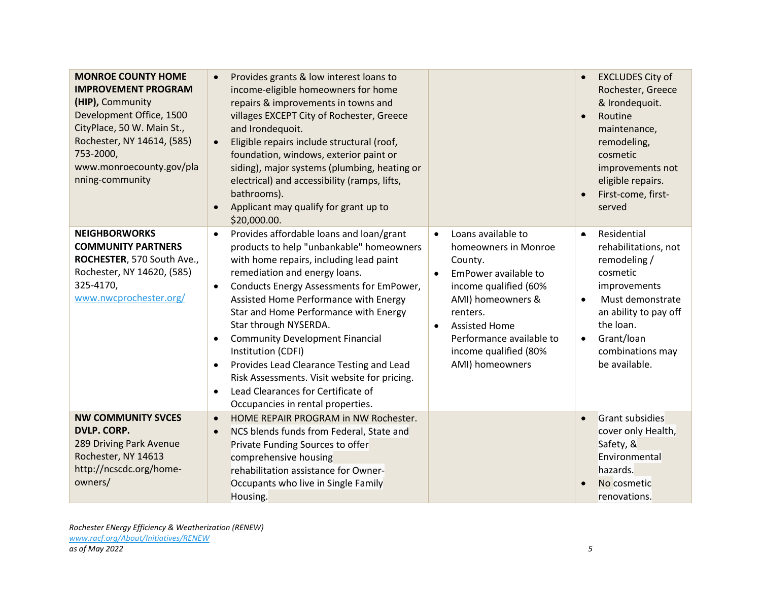| <b>MONROE COUNTY HOME</b><br><b>IMPROVEMENT PROGRAM</b><br>(HIP), Community<br>Development Office, 1500<br>CityPlace, 50 W. Main St.,<br>Rochester, NY 14614, (585)<br>753-2000,<br>www.monroecounty.gov/pla<br>nning-community | Provides grants & low interest loans to<br>$\bullet$<br>income-eligible homeowners for home<br>repairs & improvements in towns and<br>villages EXCEPT City of Rochester, Greece<br>and Irondequoit.<br>Eligible repairs include structural (roof,<br>$\bullet$<br>foundation, windows, exterior paint or<br>siding), major systems (plumbing, heating or<br>electrical) and accessibility (ramps, lifts,<br>bathrooms).<br>Applicant may qualify for grant up to<br>$\bullet$<br>\$20,000.00.                                                                                                                                   |                                                                                                                                                                                                                                                                                | <b>EXCLUDES City of</b><br>Rochester, Greece<br>& Irondequoit.<br>Routine<br>maintenance,<br>remodeling,<br>cosmetic<br>improvements not<br>eligible repairs.<br>First-come, first-<br>served                                       |
|---------------------------------------------------------------------------------------------------------------------------------------------------------------------------------------------------------------------------------|---------------------------------------------------------------------------------------------------------------------------------------------------------------------------------------------------------------------------------------------------------------------------------------------------------------------------------------------------------------------------------------------------------------------------------------------------------------------------------------------------------------------------------------------------------------------------------------------------------------------------------|--------------------------------------------------------------------------------------------------------------------------------------------------------------------------------------------------------------------------------------------------------------------------------|-------------------------------------------------------------------------------------------------------------------------------------------------------------------------------------------------------------------------------------|
| <b>NEIGHBORWORKS</b><br><b>COMMUNITY PARTNERS</b><br>ROCHESTER, 570 South Ave.,<br>Rochester, NY 14620, (585)<br>325-4170,<br>www.nwcprochester.org/                                                                            | Provides affordable loans and loan/grant<br>$\bullet$<br>products to help "unbankable" homeowners<br>with home repairs, including lead paint<br>remediation and energy loans.<br>Conducts Energy Assessments for EmPower,<br>$\bullet$<br>Assisted Home Performance with Energy<br>Star and Home Performance with Energy<br>Star through NYSERDA.<br><b>Community Development Financial</b><br>$\bullet$<br>Institution (CDFI)<br>Provides Lead Clearance Testing and Lead<br>$\bullet$<br>Risk Assessments. Visit website for pricing.<br>Lead Clearances for Certificate of<br>$\bullet$<br>Occupancies in rental properties. | Loans available to<br>$\bullet$<br>homeowners in Monroe<br>County.<br>EmPower available to<br>$\bullet$<br>income qualified (60%<br>AMI) homeowners &<br>renters.<br><b>Assisted Home</b><br>$\bullet$<br>Performance available to<br>income qualified (80%<br>AMI) homeowners | Residential<br>$\bullet$<br>rehabilitations, not<br>remodeling /<br>cosmetic<br>improvements<br>Must demonstrate<br>$\bullet$<br>an ability to pay off<br>the loan.<br>Grant/loan<br>$\bullet$<br>combinations may<br>be available. |
| <b>NW COMMUNITY SVCES</b><br><b>DVLP. CORP.</b><br>289 Driving Park Avenue<br>Rochester, NY 14613<br>http://ncscdc.org/home-<br>owners/                                                                                         | HOME REPAIR PROGRAM in NW Rochester.<br>$\bullet$<br>NCS blends funds from Federal, State and<br>$\bullet$<br>Private Funding Sources to offer<br>comprehensive housing<br>rehabilitation assistance for Owner-<br>Occupants who live in Single Family<br>Housing.                                                                                                                                                                                                                                                                                                                                                              |                                                                                                                                                                                                                                                                                | <b>Grant subsidies</b><br>cover only Health,<br>Safety, &<br>Environmental<br>hazards.<br>No cosmetic<br>renovations.                                                                                                               |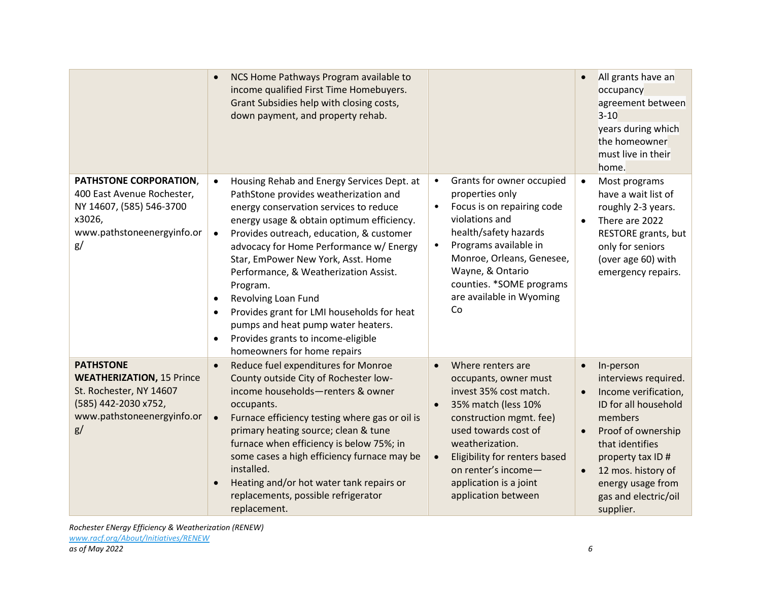|                                                                                                                                             | NCS Home Pathways Program available to<br>income qualified First Time Homebuyers.<br>Grant Subsidies help with closing costs,<br>down payment, and property rehab.                                                                                                                                                                                                                                                                                                                                                                                                                  |                                                                                                                                                                                                                                                                                                                   | All grants have an<br>occupancy<br>agreement between<br>$3 - 10$<br>years during which<br>the homeowner<br>must live in their<br>home.                                                                                                                                           |
|---------------------------------------------------------------------------------------------------------------------------------------------|-------------------------------------------------------------------------------------------------------------------------------------------------------------------------------------------------------------------------------------------------------------------------------------------------------------------------------------------------------------------------------------------------------------------------------------------------------------------------------------------------------------------------------------------------------------------------------------|-------------------------------------------------------------------------------------------------------------------------------------------------------------------------------------------------------------------------------------------------------------------------------------------------------------------|----------------------------------------------------------------------------------------------------------------------------------------------------------------------------------------------------------------------------------------------------------------------------------|
| PATHSTONE CORPORATION,<br>400 East Avenue Rochester,<br>NY 14607, (585) 546-3700<br>x3026,<br>www.pathstoneenergyinfo.or<br>g/              | Housing Rehab and Energy Services Dept. at<br>PathStone provides weatherization and<br>energy conservation services to reduce<br>energy usage & obtain optimum efficiency.<br>Provides outreach, education, & customer<br>advocacy for Home Performance w/ Energy<br>Star, EmPower New York, Asst. Home<br>Performance, & Weatherization Assist.<br>Program.<br>Revolving Loan Fund<br>$\bullet$<br>Provides grant for LMI households for heat<br>$\bullet$<br>pumps and heat pump water heaters.<br>Provides grants to income-eligible<br>$\bullet$<br>homeowners for home repairs | Grants for owner occupied<br>$\bullet$<br>properties only<br>Focus is on repairing code<br>$\bullet$<br>violations and<br>health/safety hazards<br>Programs available in<br>$\bullet$<br>Monroe, Orleans, Genesee,<br>Wayne, & Ontario<br>counties. *SOME programs<br>are available in Wyoming<br>Co              | Most programs<br>$\bullet$<br>have a wait list of<br>roughly 2-3 years.<br>There are 2022<br>$\bullet$<br>RESTORE grants, but<br>only for seniors<br>(over age 60) with<br>emergency repairs.                                                                                    |
| <b>PATHSTONE</b><br><b>WEATHERIZATION, 15 Prince</b><br>St. Rochester, NY 14607<br>(585) 442-2030 x752,<br>www.pathstoneenergyinfo.or<br>g/ | Reduce fuel expenditures for Monroe<br>County outside City of Rochester low-<br>income households-renters & owner<br>occupants.<br>Furnace efficiency testing where gas or oil is<br>primary heating source; clean & tune<br>furnace when efficiency is below 75%; in<br>some cases a high efficiency furnace may be<br>installed.<br>Heating and/or hot water tank repairs or<br>replacements, possible refrigerator<br>replacement.                                                                                                                                               | Where renters are<br>$\bullet$<br>occupants, owner must<br>invest 35% cost match.<br>35% match (less 10%<br>$\bullet$<br>construction mgmt. fee)<br>used towards cost of<br>weatherization.<br>Eligibility for renters based<br>$\bullet$<br>on renter's income-<br>application is a joint<br>application between | In-person<br>$\bullet$<br>interviews required.<br>Income verification,<br>$\bullet$<br>ID for all household<br>members<br>Proof of ownership<br>$\bullet$<br>that identifies<br>property tax ID#<br>12 mos. history of<br>energy usage from<br>gas and electric/oil<br>supplier. |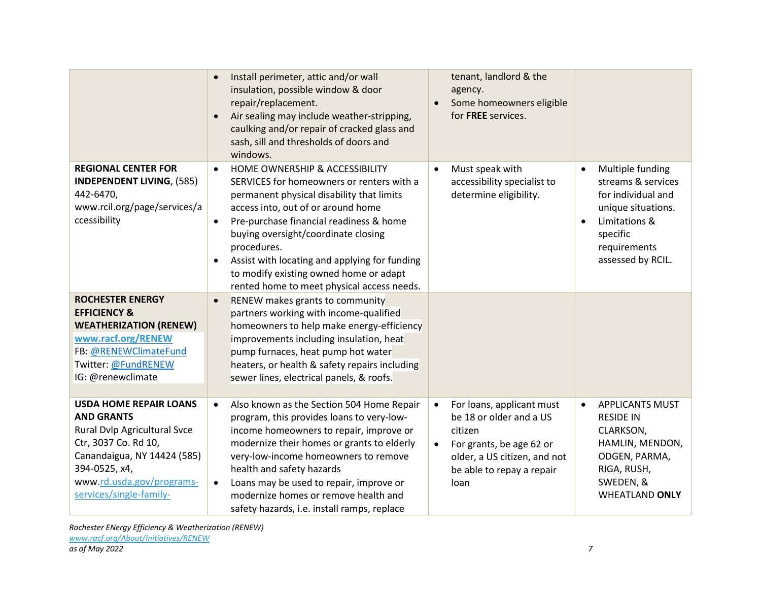|                                                                                                                                                                                                                    | Install perimeter, attic and/or wall<br>insulation, possible window & door<br>repair/replacement.<br>Air sealing may include weather-stripping,<br>caulking and/or repair of cracked glass and<br>sash, sill and thresholds of doors and<br>windows.                                                                                                                                                                                            | tenant, landlord & the<br>agency.<br>Some homeowners eligible<br>$\bullet$<br>for FREE services.                                                                                           |                                                                                                                                                                                |
|--------------------------------------------------------------------------------------------------------------------------------------------------------------------------------------------------------------------|-------------------------------------------------------------------------------------------------------------------------------------------------------------------------------------------------------------------------------------------------------------------------------------------------------------------------------------------------------------------------------------------------------------------------------------------------|--------------------------------------------------------------------------------------------------------------------------------------------------------------------------------------------|--------------------------------------------------------------------------------------------------------------------------------------------------------------------------------|
| <b>REGIONAL CENTER FOR</b><br><b>INDEPENDENT LIVING, (585)</b><br>442-6470,<br>www.rcil.org/page/services/a<br>ccessibility                                                                                        | HOME OWNERSHIP & ACCESSIBILITY<br>$\bullet$<br>SERVICES for homeowners or renters with a<br>permanent physical disability that limits<br>access into, out of or around home<br>Pre-purchase financial readiness & home<br>$\bullet$<br>buying oversight/coordinate closing<br>procedures.<br>Assist with locating and applying for funding<br>$\bullet$<br>to modify existing owned home or adapt<br>rented home to meet physical access needs. | Must speak with<br>$\bullet$<br>accessibility specialist to<br>determine eligibility.                                                                                                      | Multiple funding<br>$\bullet$<br>streams & services<br>for individual and<br>unique situations.<br>Limitations &<br>$\bullet$<br>specific<br>requirements<br>assessed by RCIL. |
| <b>ROCHESTER ENERGY</b><br><b>EFFICIENCY &amp;</b><br><b>WEATHERIZATION (RENEW)</b><br>www.racf.org/RENEW<br>FB: @RENEWClimateFund<br>Twitter: @FundRENEW<br>IG: @renewclimate                                     | RENEW makes grants to community<br>$\bullet$<br>partners working with income-qualified<br>homeowners to help make energy-efficiency<br>improvements including insulation, heat<br>pump furnaces, heat pump hot water<br>heaters, or health & safety repairs including<br>sewer lines, electrical panels, & roofs.                                                                                                                               |                                                                                                                                                                                            |                                                                                                                                                                                |
| <b>USDA HOME REPAIR LOANS</b><br><b>AND GRANTS</b><br>Rural Dvlp Agricultural Svce<br>Ctr, 3037 Co. Rd 10,<br>Canandaigua, NY 14424 (585)<br>394-0525, x4,<br>www.rd.usda.gov/programs-<br>services/single-family- | Also known as the Section 504 Home Repair<br>$\bullet$<br>program, this provides loans to very-low-<br>income homeowners to repair, improve or<br>modernize their homes or grants to elderly<br>very-low-income homeowners to remove<br>health and safety hazards<br>Loans may be used to repair, improve or<br>$\bullet$<br>modernize homes or remove health and<br>safety hazards, i.e. install ramps, replace                                | For loans, applicant must<br>$\bullet$<br>be 18 or older and a US<br>citizen<br>For grants, be age 62 or<br>$\bullet$<br>older, a US citizen, and not<br>be able to repay a repair<br>loan | <b>APPLICANTS MUST</b><br>$\bullet$<br><b>RESIDE IN</b><br>CLARKSON,<br>HAMLIN, MENDON,<br>ODGEN, PARMA,<br>RIGA, RUSH,<br>SWEDEN, &<br><b>WHEATLAND ONLY</b>                  |

*Rochester ENergy Efficiency & Weatherization (RENEW) [www.racf.org/About/Initiatives/RENEW](http://www.racf.org/About/Initiatives/RENEW)*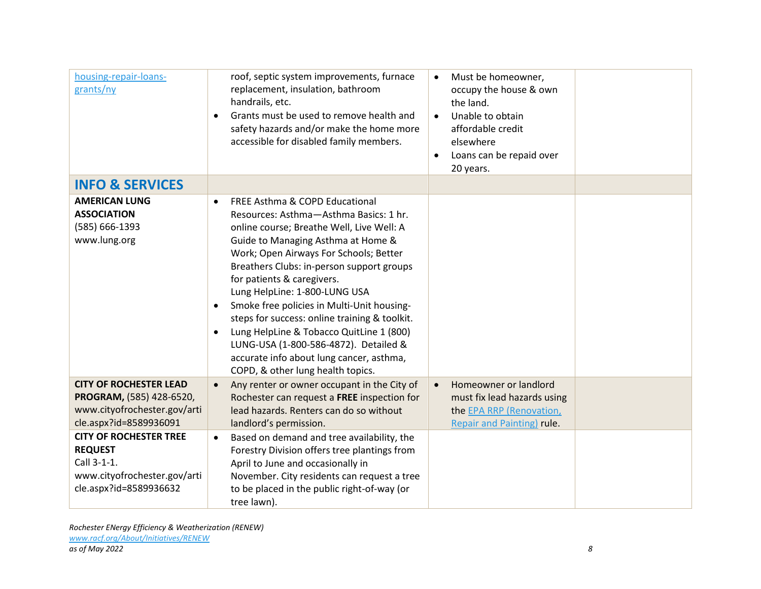| housing-repair-loans-<br>grants/ny                                                                                       | roof, septic system improvements, furnace<br>replacement, insulation, bathroom<br>handrails, etc.<br>Grants must be used to remove health and<br>safety hazards and/or make the home more<br>accessible for disabled family members.                                                                                                                                                                                                                                                                                                                                                                                          | Must be homeowner,<br>$\bullet$<br>occupy the house & own<br>the land.<br>Unable to obtain<br>$\bullet$<br>affordable credit<br>elsewhere<br>Loans can be repaid over<br>20 years. |
|--------------------------------------------------------------------------------------------------------------------------|-------------------------------------------------------------------------------------------------------------------------------------------------------------------------------------------------------------------------------------------------------------------------------------------------------------------------------------------------------------------------------------------------------------------------------------------------------------------------------------------------------------------------------------------------------------------------------------------------------------------------------|------------------------------------------------------------------------------------------------------------------------------------------------------------------------------------|
| <b>INFO &amp; SERVICES</b>                                                                                               |                                                                                                                                                                                                                                                                                                                                                                                                                                                                                                                                                                                                                               |                                                                                                                                                                                    |
| <b>AMERICAN LUNG</b><br><b>ASSOCIATION</b><br>(585) 666-1393<br>www.lung.org                                             | FREE Asthma & COPD Educational<br>$\bullet$<br>Resources: Asthma-Asthma Basics: 1 hr.<br>online course; Breathe Well, Live Well: A<br>Guide to Managing Asthma at Home &<br>Work; Open Airways For Schools; Better<br>Breathers Clubs: in-person support groups<br>for patients & caregivers.<br>Lung HelpLine: 1-800-LUNG USA<br>Smoke free policies in Multi-Unit housing-<br>$\bullet$<br>steps for success: online training & toolkit.<br>Lung HelpLine & Tobacco QuitLine 1 (800)<br>$\bullet$<br>LUNG-USA (1-800-586-4872). Detailed &<br>accurate info about lung cancer, asthma,<br>COPD, & other lung health topics. |                                                                                                                                                                                    |
| <b>CITY OF ROCHESTER LEAD</b><br>PROGRAM, (585) 428-6520,<br>www.cityofrochester.gov/arti<br>cle.aspx?id=8589936091      | Any renter or owner occupant in the City of<br>$\bullet$<br>Rochester can request a FREE inspection for<br>lead hazards. Renters can do so without<br>landlord's permission.                                                                                                                                                                                                                                                                                                                                                                                                                                                  | Homeowner or landlord<br>$\bullet$<br>must fix lead hazards using<br>the EPA RRP (Renovation,<br>Repair and Painting) rule.                                                        |
| <b>CITY OF ROCHESTER TREE</b><br><b>REQUEST</b><br>Call 3-1-1.<br>www.cityofrochester.gov/arti<br>cle.aspx?id=8589936632 | Based on demand and tree availability, the<br>$\bullet$<br>Forestry Division offers tree plantings from<br>April to June and occasionally in<br>November. City residents can request a tree<br>to be placed in the public right-of-way (or<br>tree lawn).                                                                                                                                                                                                                                                                                                                                                                     |                                                                                                                                                                                    |

*Rochester ENergy Efficiency & Weatherization (RENEW) [www.racf.org/About/Initiatives/RENEW](http://www.racf.org/About/Initiatives/RENEW) as of May 2022 8*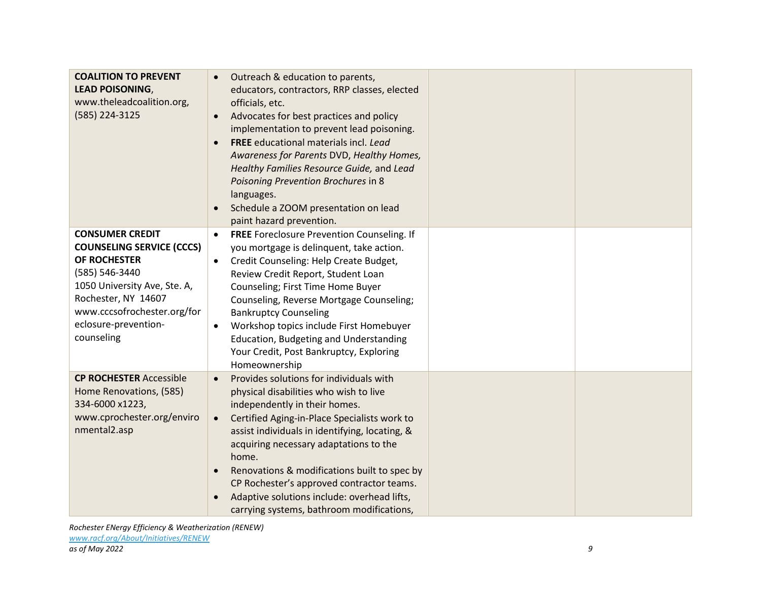| <b>COALITION TO PREVENT</b><br><b>LEAD POISONING,</b><br>www.theleadcoalition.org,<br>(585) 224-3125                                                                                                                     | Outreach & education to parents,<br>$\bullet$<br>educators, contractors, RRP classes, elected<br>officials, etc.<br>Advocates for best practices and policy<br>implementation to prevent lead poisoning.<br><b>FREE</b> educational materials incl. Lead<br>$\bullet$<br>Awareness for Parents DVD, Healthy Homes,<br>Healthy Families Resource Guide, and Lead<br>Poisoning Prevention Brochures in 8<br>languages.<br>Schedule a ZOOM presentation on lead<br>$\bullet$<br>paint hazard prevention.                |
|--------------------------------------------------------------------------------------------------------------------------------------------------------------------------------------------------------------------------|----------------------------------------------------------------------------------------------------------------------------------------------------------------------------------------------------------------------------------------------------------------------------------------------------------------------------------------------------------------------------------------------------------------------------------------------------------------------------------------------------------------------|
| <b>CONSUMER CREDIT</b><br><b>COUNSELING SERVICE (CCCS)</b><br>OF ROCHESTER<br>(585) 546-3440<br>1050 University Ave, Ste. A,<br>Rochester, NY 14607<br>www.cccsofrochester.org/for<br>eclosure-prevention-<br>counseling | FREE Foreclosure Prevention Counseling. If<br>$\bullet$<br>you mortgage is delinquent, take action.<br>Credit Counseling: Help Create Budget,<br>$\bullet$<br>Review Credit Report, Student Loan<br>Counseling; First Time Home Buyer<br>Counseling, Reverse Mortgage Counseling;<br><b>Bankruptcy Counseling</b><br>Workshop topics include First Homebuyer<br>Education, Budgeting and Understanding<br>Your Credit, Post Bankruptcy, Exploring<br>Homeownership                                                   |
| <b>CP ROCHESTER Accessible</b><br>Home Renovations, (585)<br>334-6000 x1223,<br>www.cprochester.org/enviro<br>nmental2.asp                                                                                               | Provides solutions for individuals with<br>$\bullet$<br>physical disabilities who wish to live<br>independently in their homes.<br>Certified Aging-in-Place Specialists work to<br>$\bullet$<br>assist individuals in identifying, locating, &<br>acquiring necessary adaptations to the<br>home.<br>Renovations & modifications built to spec by<br>$\bullet$<br>CP Rochester's approved contractor teams.<br>Adaptive solutions include: overhead lifts,<br>$\bullet$<br>carrying systems, bathroom modifications, |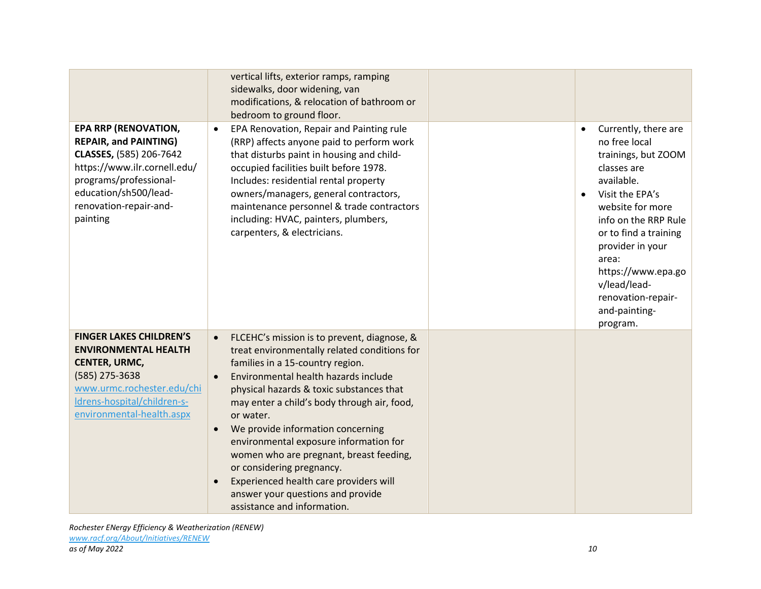|                                                                                                                                                                                                                 | vertical lifts, exterior ramps, ramping<br>sidewalks, door widening, van<br>modifications, & relocation of bathroom or<br>bedroom to ground floor.                                                                                                                                                                                                                                                                                                                                                                                                                             |                                                                                                                                                                                                                                                                                                                      |
|-----------------------------------------------------------------------------------------------------------------------------------------------------------------------------------------------------------------|--------------------------------------------------------------------------------------------------------------------------------------------------------------------------------------------------------------------------------------------------------------------------------------------------------------------------------------------------------------------------------------------------------------------------------------------------------------------------------------------------------------------------------------------------------------------------------|----------------------------------------------------------------------------------------------------------------------------------------------------------------------------------------------------------------------------------------------------------------------------------------------------------------------|
| <b>EPA RRP (RENOVATION,</b><br><b>REPAIR, and PAINTING)</b><br>CLASSES, (585) 206-7642<br>https://www.ilr.cornell.edu/<br>programs/professional-<br>education/sh500/lead-<br>renovation-repair-and-<br>painting | EPA Renovation, Repair and Painting rule<br>$\bullet$<br>(RRP) affects anyone paid to perform work<br>that disturbs paint in housing and child-<br>occupied facilities built before 1978.<br>Includes: residential rental property<br>owners/managers, general contractors,<br>maintenance personnel & trade contractors<br>including: HVAC, painters, plumbers,<br>carpenters, & electricians.                                                                                                                                                                                | Currently, there are<br>no free local<br>trainings, but ZOOM<br>classes are<br>available.<br>Visit the EPA's<br>$\bullet$<br>website for more<br>info on the RRP Rule<br>or to find a training<br>provider in your<br>area:<br>https://www.epa.go<br>v/lead/lead-<br>renovation-repair-<br>and-painting-<br>program. |
| <b>FINGER LAKES CHILDREN'S</b><br><b>ENVIRONMENTAL HEALTH</b><br><b>CENTER, URMC,</b><br>(585) 275-3638<br>www.urmc.rochester.edu/chi<br>Idrens-hospital/children-s-<br>environmental-health.aspx               | FLCEHC's mission is to prevent, diagnose, &<br>treat environmentally related conditions for<br>families in a 15-country region.<br>Environmental health hazards include<br>$\bullet$<br>physical hazards & toxic substances that<br>may enter a child's body through air, food,<br>or water.<br>We provide information concerning<br>$\bullet$<br>environmental exposure information for<br>women who are pregnant, breast feeding,<br>or considering pregnancy.<br>Experienced health care providers will<br>answer your questions and provide<br>assistance and information. |                                                                                                                                                                                                                                                                                                                      |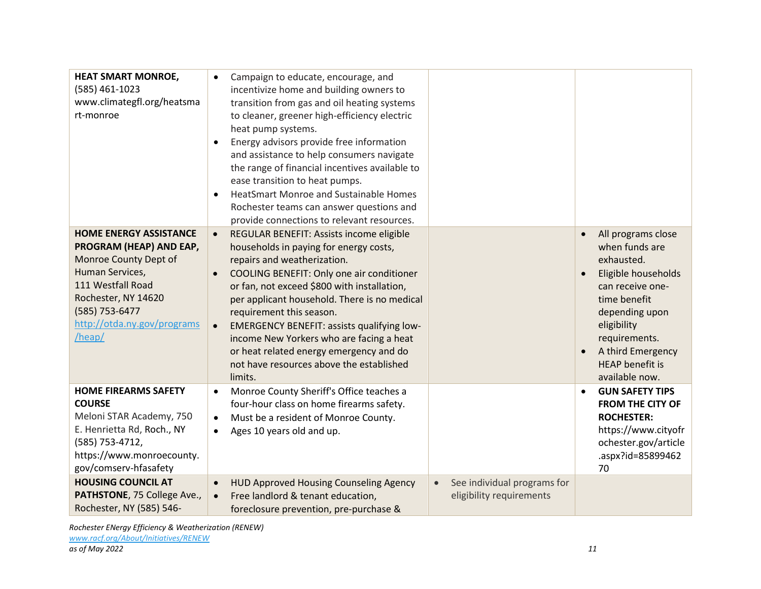| <b>HEAT SMART MONROE,</b><br>(585) 461-1023<br>www.climategfl.org/heatsma<br>rt-monroe                                                                                                                      | Campaign to educate, encourage, and<br>$\bullet$<br>incentivize home and building owners to<br>transition from gas and oil heating systems<br>to cleaner, greener high-efficiency electric<br>heat pump systems.<br>Energy advisors provide free information<br>$\bullet$<br>and assistance to help consumers navigate<br>the range of financial incentives available to<br>ease transition to heat pumps.<br><b>HeatSmart Monroe and Sustainable Homes</b><br>$\bullet$<br>Rochester teams can answer questions and<br>provide connections to relevant resources. |                                                                      |                                                                                                                                                                                                                                  |
|-------------------------------------------------------------------------------------------------------------------------------------------------------------------------------------------------------------|--------------------------------------------------------------------------------------------------------------------------------------------------------------------------------------------------------------------------------------------------------------------------------------------------------------------------------------------------------------------------------------------------------------------------------------------------------------------------------------------------------------------------------------------------------------------|----------------------------------------------------------------------|----------------------------------------------------------------------------------------------------------------------------------------------------------------------------------------------------------------------------------|
| <b>HOME ENERGY ASSISTANCE</b><br>PROGRAM (HEAP) AND EAP,<br>Monroe County Dept of<br>Human Services,<br>111 Westfall Road<br>Rochester, NY 14620<br>(585) 753-6477<br>http://otda.ny.gov/programs<br>/heap/ | REGULAR BENEFIT: Assists income eligible<br>$\bullet$<br>households in paying for energy costs,<br>repairs and weatherization.<br>COOLING BENEFIT: Only one air conditioner<br>$\bullet$<br>or fan, not exceed \$800 with installation,<br>per applicant household. There is no medical<br>requirement this season.<br><b>EMERGENCY BENEFIT: assists qualifying low-</b><br>$\bullet$<br>income New Yorkers who are facing a heat<br>or heat related energy emergency and do<br>not have resources above the established<br>limits.                                |                                                                      | All programs close<br>when funds are<br>exhausted.<br>Eligible households<br>can receive one-<br>time benefit<br>depending upon<br>eligibility<br>requirements.<br>A third Emergency<br><b>HEAP</b> benefit is<br>available now. |
| <b>HOME FIREARMS SAFETY</b><br><b>COURSE</b><br>Meloni STAR Academy, 750<br>E. Henrietta Rd, Roch., NY<br>(585) 753-4712,<br>https://www.monroecounty.<br>gov/comserv-hfasafety                             | Monroe County Sheriff's Office teaches a<br>$\bullet$<br>four-hour class on home firearms safety.<br>Must be a resident of Monroe County.<br>$\bullet$<br>Ages 10 years old and up.<br>$\bullet$                                                                                                                                                                                                                                                                                                                                                                   |                                                                      | <b>GUN SAFETY TIPS</b><br>$\bullet$<br><b>FROM THE CITY OF</b><br><b>ROCHESTER:</b><br>https://www.cityofr<br>ochester.gov/article<br>.aspx?id=85899462<br>70                                                                    |
| <b>HOUSING COUNCIL AT</b><br>PATHSTONE, 75 College Ave.,<br>Rochester, NY (585) 546-                                                                                                                        | <b>HUD Approved Housing Counseling Agency</b><br>$\bullet$<br>Free landlord & tenant education,<br>$\bullet$<br>foreclosure prevention, pre-purchase &                                                                                                                                                                                                                                                                                                                                                                                                             | See individual programs for<br>$\bullet$<br>eligibility requirements |                                                                                                                                                                                                                                  |

*Rochester ENergy Efficiency & Weatherization (RENEW) [www.racf.org/About/Initiatives/RENEW](http://www.racf.org/About/Initiatives/RENEW)*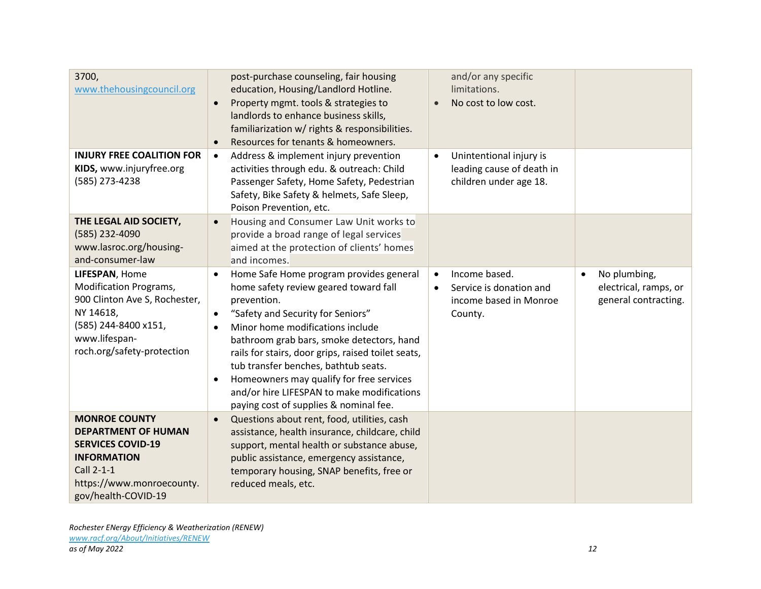| 3700,<br>www.thehousingcouncil.org                                                                                                                                     | post-purchase counseling, fair housing<br>education, Housing/Landlord Hotline.<br>Property mgmt. tools & strategies to<br>$\bullet$<br>landlords to enhance business skills,<br>familiarization w/ rights & responsibilities.<br>Resources for tenants & homeowners.<br>$\bullet$                                                                                                                                                                                                                           | and/or any specific<br>limitations.<br>No cost to low cost.<br>$\bullet$                                |                                                                            |
|------------------------------------------------------------------------------------------------------------------------------------------------------------------------|-------------------------------------------------------------------------------------------------------------------------------------------------------------------------------------------------------------------------------------------------------------------------------------------------------------------------------------------------------------------------------------------------------------------------------------------------------------------------------------------------------------|---------------------------------------------------------------------------------------------------------|----------------------------------------------------------------------------|
| <b>INJURY FREE COALITION FOR</b><br>KIDS, www.injuryfree.org<br>(585) 273-4238<br>THE LEGAL AID SOCIETY,                                                               | Address & implement injury prevention<br>$\bullet$<br>activities through edu. & outreach: Child<br>Passenger Safety, Home Safety, Pedestrian<br>Safety, Bike Safety & helmets, Safe Sleep,<br>Poison Prevention, etc.<br>Housing and Consumer Law Unit works to<br>$\bullet$                                                                                                                                                                                                                                | Unintentional injury is<br>$\bullet$<br>leading cause of death in<br>children under age 18.             |                                                                            |
| (585) 232-4090<br>www.lasroc.org/housing-<br>and-consumer-law                                                                                                          | provide a broad range of legal services<br>aimed at the protection of clients' homes<br>and incomes.                                                                                                                                                                                                                                                                                                                                                                                                        |                                                                                                         |                                                                            |
| LIFESPAN, Home<br><b>Modification Programs,</b><br>900 Clinton Ave S, Rochester,<br>NY 14618,<br>(585) 244-8400 x151,<br>www.lifespan-<br>roch.org/safety-protection   | Home Safe Home program provides general<br>$\bullet$<br>home safety review geared toward fall<br>prevention.<br>"Safety and Security for Seniors"<br>$\bullet$<br>Minor home modifications include<br>$\bullet$<br>bathroom grab bars, smoke detectors, hand<br>rails for stairs, door grips, raised toilet seats,<br>tub transfer benches, bathtub seats.<br>Homeowners may qualify for free services<br>$\bullet$<br>and/or hire LIFESPAN to make modifications<br>paying cost of supplies & nominal fee. | Income based.<br>$\bullet$<br>Service is donation and<br>$\bullet$<br>income based in Monroe<br>County. | No plumbing,<br>$\bullet$<br>electrical, ramps, or<br>general contracting. |
| <b>MONROE COUNTY</b><br><b>DEPARTMENT OF HUMAN</b><br><b>SERVICES COVID-19</b><br><b>INFORMATION</b><br>Call 2-1-1<br>https://www.monroecounty.<br>gov/health-COVID-19 | Questions about rent, food, utilities, cash<br>$\bullet$<br>assistance, health insurance, childcare, child<br>support, mental health or substance abuse,<br>public assistance, emergency assistance,<br>temporary housing, SNAP benefits, free or<br>reduced meals, etc.                                                                                                                                                                                                                                    |                                                                                                         |                                                                            |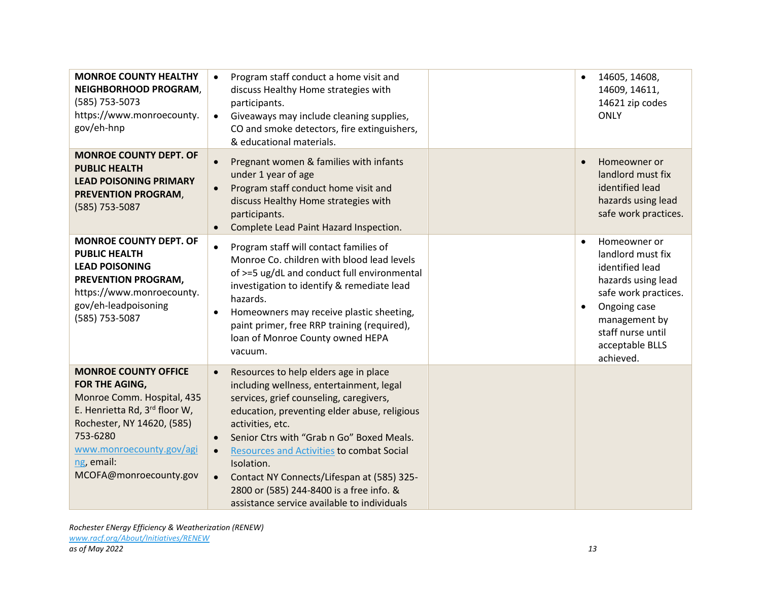| <b>MONROE COUNTY HEALTHY</b><br>NEIGHBORHOOD PROGRAM,<br>(585) 753-5073<br>https://www.monroecounty.<br>gov/eh-hnp                                                                                                         | Program staff conduct a home visit and<br>discuss Healthy Home strategies with<br>participants.<br>Giveaways may include cleaning supplies,<br>CO and smoke detectors, fire extinguishers,<br>& educational materials.                                                                                                                                                                                                                                                      | 14605, 14608,<br>14609, 14611,<br>14621 zip codes<br><b>ONLY</b>                                                                                                                                                   |
|----------------------------------------------------------------------------------------------------------------------------------------------------------------------------------------------------------------------------|-----------------------------------------------------------------------------------------------------------------------------------------------------------------------------------------------------------------------------------------------------------------------------------------------------------------------------------------------------------------------------------------------------------------------------------------------------------------------------|--------------------------------------------------------------------------------------------------------------------------------------------------------------------------------------------------------------------|
| <b>MONROE COUNTY DEPT. OF</b><br><b>PUBLIC HEALTH</b><br><b>LEAD POISONING PRIMARY</b><br>PREVENTION PROGRAM,<br>(585) 753-5087                                                                                            | Pregnant women & families with infants<br>under 1 year of age<br>Program staff conduct home visit and<br>discuss Healthy Home strategies with<br>participants.<br>Complete Lead Paint Hazard Inspection.<br>$\bullet$                                                                                                                                                                                                                                                       | Homeowner or<br>$\bullet$<br>landlord must fix<br>identified lead<br>hazards using lead<br>safe work practices.                                                                                                    |
| <b>MONROE COUNTY DEPT. OF</b><br><b>PUBLIC HEALTH</b><br><b>LEAD POISONING</b><br>PREVENTION PROGRAM,<br>https://www.monroecounty.<br>gov/eh-leadpoisoning<br>(585) 753-5087                                               | Program staff will contact families of<br>Monroe Co. children with blood lead levels<br>of >=5 ug/dL and conduct full environmental<br>investigation to identify & remediate lead<br>hazards.<br>Homeowners may receive plastic sheeting,<br>$\bullet$<br>paint primer, free RRP training (required),<br>loan of Monroe County owned HEPA<br>vacuum.                                                                                                                        | Homeowner or<br>$\bullet$<br>landlord must fix<br>identified lead<br>hazards using lead<br>safe work practices.<br>Ongoing case<br>$\bullet$<br>management by<br>staff nurse until<br>acceptable BLLS<br>achieved. |
| <b>MONROE COUNTY OFFICE</b><br>FOR THE AGING,<br>Monroe Comm. Hospital, 435<br>E. Henrietta Rd, 3rd floor W,<br>Rochester, NY 14620, (585)<br>753-6280<br>www.monroecounty.gov/agi<br>ng, email:<br>MCOFA@monroecounty.gov | Resources to help elders age in place<br>including wellness, entertainment, legal<br>services, grief counseling, caregivers,<br>education, preventing elder abuse, religious<br>activities, etc.<br>Senior Ctrs with "Grab n Go" Boxed Meals.<br>$\bullet$<br>Resources and Activities to combat Social<br>$\bullet$<br>Isolation.<br>Contact NY Connects/Lifespan at (585) 325-<br>2800 or (585) 244-8400 is a free info. &<br>assistance service available to individuals |                                                                                                                                                                                                                    |

*Rochester ENergy Efficiency & Weatherization (RENEW) [www.racf.org/About/Initiatives/RENEW](http://www.racf.org/About/Initiatives/RENEW) as of May 2022 13*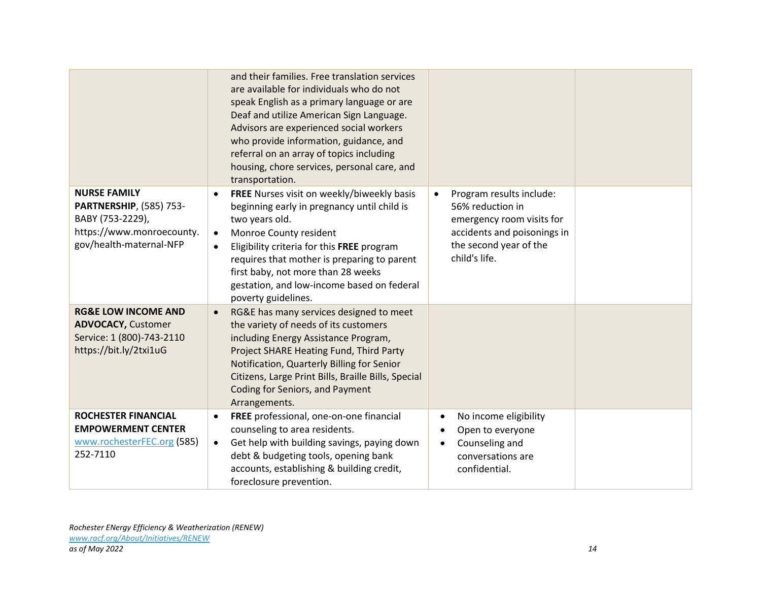|                                                                                                                                   | and their families. Free translation services<br>are available for individuals who do not<br>speak English as a primary language or are<br>Deaf and utilize American Sign Language.<br>Advisors are experienced social workers<br>who provide information, guidance, and<br>referral on an array of topics including<br>housing, chore services, personal care, and<br>transportation. |                                                                                                                                                                  |  |
|-----------------------------------------------------------------------------------------------------------------------------------|----------------------------------------------------------------------------------------------------------------------------------------------------------------------------------------------------------------------------------------------------------------------------------------------------------------------------------------------------------------------------------------|------------------------------------------------------------------------------------------------------------------------------------------------------------------|--|
| <b>NURSE FAMILY</b><br><b>PARTNERSHIP, (585) 753-</b><br>BABY (753-2229),<br>https://www.monroecounty.<br>gov/health-maternal-NFP | FREE Nurses visit on weekly/biweekly basis<br>beginning early in pregnancy until child is<br>two years old.<br>Monroe County resident<br>$\bullet$<br>Eligibility criteria for this FREE program<br>$\bullet$<br>requires that mother is preparing to parent<br>first baby, not more than 28 weeks<br>gestation, and low-income based on federal<br>poverty guidelines.                | Program results include:<br>$\bullet$<br>56% reduction in<br>emergency room visits for<br>accidents and poisonings in<br>the second year of the<br>child's life. |  |
| <b>RG&amp;E LOW INCOME AND</b><br><b>ADVOCACY, Customer</b><br>Service: 1 (800)-743-2110<br>https://bit.ly/2txi1uG                | RG&E has many services designed to meet<br>the variety of needs of its customers<br>including Energy Assistance Program,<br>Project SHARE Heating Fund, Third Party<br>Notification, Quarterly Billing for Senior<br>Citizens, Large Print Bills, Braille Bills, Special<br>Coding for Seniors, and Payment<br>Arrangements.                                                           |                                                                                                                                                                  |  |
| <b>ROCHESTER FINANCIAL</b><br><b>EMPOWERMENT CENTER</b><br>www.rochesterFEC.org (585)<br>252-7110                                 | FREE professional, one-on-one financial<br>$\bullet$<br>counseling to area residents.<br>Get help with building savings, paying down<br>$\bullet$<br>debt & budgeting tools, opening bank<br>accounts, establishing & building credit,<br>foreclosure prevention.                                                                                                                      | No income eligibility<br>Open to everyone<br>Counseling and<br>conversations are<br>confidential.                                                                |  |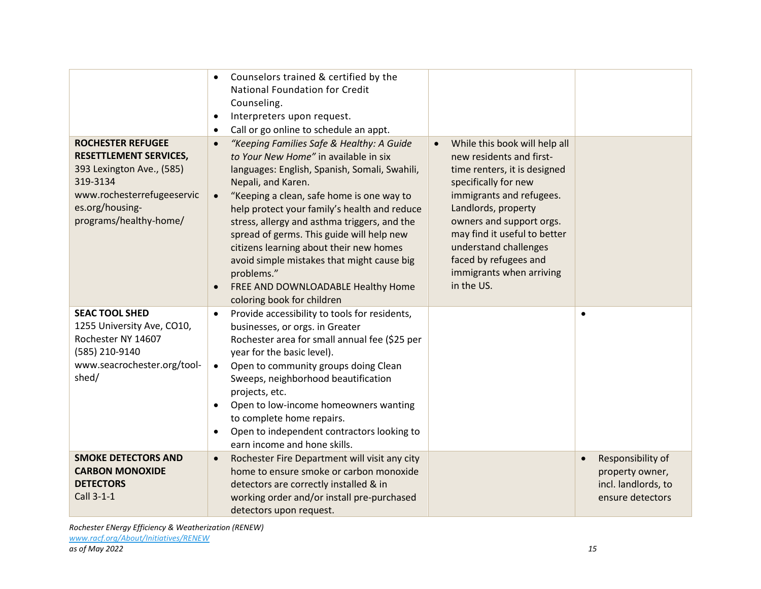|                                                                                                                                                                               | Counselors trained & certified by the<br><b>National Foundation for Credit</b><br>Counseling.<br>Interpreters upon request.<br>$\bullet$<br>Call or go online to schedule an appt.<br>$\bullet$                                                                                                                                                                                                                                                                                                                                                          |                                                                                                                                                                                                                                                                                                                                           |                                                                                              |
|-------------------------------------------------------------------------------------------------------------------------------------------------------------------------------|----------------------------------------------------------------------------------------------------------------------------------------------------------------------------------------------------------------------------------------------------------------------------------------------------------------------------------------------------------------------------------------------------------------------------------------------------------------------------------------------------------------------------------------------------------|-------------------------------------------------------------------------------------------------------------------------------------------------------------------------------------------------------------------------------------------------------------------------------------------------------------------------------------------|----------------------------------------------------------------------------------------------|
| <b>ROCHESTER REFUGEE</b><br><b>RESETTLEMENT SERVICES,</b><br>393 Lexington Ave., (585)<br>319-3134<br>www.rochesterrefugeeservic<br>es.org/housing-<br>programs/healthy-home/ | "Keeping Families Safe & Healthy: A Guide<br>$\bullet$<br>to Your New Home" in available in six<br>languages: English, Spanish, Somali, Swahili,<br>Nepali, and Karen.<br>"Keeping a clean, safe home is one way to<br>help protect your family's health and reduce<br>stress, allergy and asthma triggers, and the<br>spread of germs. This guide will help new<br>citizens learning about their new homes<br>avoid simple mistakes that might cause big<br>problems."<br>FREE AND DOWNLOADABLE Healthy Home<br>$\bullet$<br>coloring book for children | While this book will help all<br>$\bullet$<br>new residents and first-<br>time renters, it is designed<br>specifically for new<br>immigrants and refugees.<br>Landlords, property<br>owners and support orgs.<br>may find it useful to better<br>understand challenges<br>faced by refugees and<br>immigrants when arriving<br>in the US. |                                                                                              |
| <b>SEAC TOOL SHED</b><br>1255 University Ave, CO10,<br>Rochester NY 14607<br>(585) 210-9140<br>www.seacrochester.org/tool-<br>shed/                                           | Provide accessibility to tools for residents,<br>$\bullet$<br>businesses, or orgs. in Greater<br>Rochester area for small annual fee (\$25 per<br>year for the basic level).<br>Open to community groups doing Clean<br>$\bullet$<br>Sweeps, neighborhood beautification<br>projects, etc.<br>Open to low-income homeowners wanting<br>$\bullet$<br>to complete home repairs.<br>Open to independent contractors looking to<br>$\bullet$<br>earn income and hone skills.                                                                                 |                                                                                                                                                                                                                                                                                                                                           | $\bullet$                                                                                    |
| <b>SMOKE DETECTORS AND</b><br><b>CARBON MONOXIDE</b><br><b>DETECTORS</b><br>Call 3-1-1                                                                                        | Rochester Fire Department will visit any city<br>$\bullet$<br>home to ensure smoke or carbon monoxide<br>detectors are correctly installed & in<br>working order and/or install pre-purchased<br>detectors upon request.                                                                                                                                                                                                                                                                                                                                 |                                                                                                                                                                                                                                                                                                                                           | Responsibility of<br>$\bullet$<br>property owner,<br>incl. landlords, to<br>ensure detectors |

*Rochester ENergy Efficiency & Weatherization (RENEW) [www.racf.org/About/Initiatives/RENEW](http://www.racf.org/About/Initiatives/RENEW)*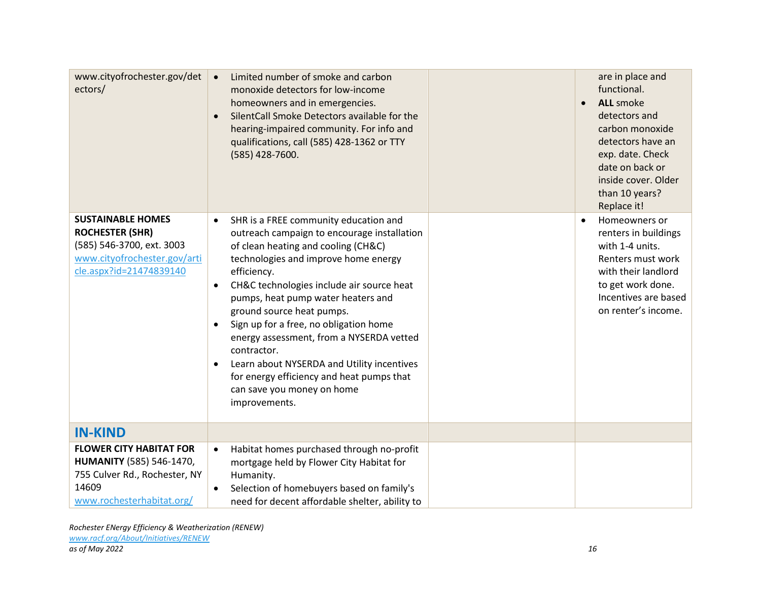| www.cityofrochester.gov/det<br>ectors/                                                                                                     | Limited number of smoke and carbon<br>$\bullet$<br>monoxide detectors for low-income<br>homeowners and in emergencies.<br>SilentCall Smoke Detectors available for the<br>$\bullet$<br>hearing-impaired community. For info and<br>qualifications, call (585) 428-1362 or TTY<br>(585) 428-7600.                                                                                                                                                                                                                                                                                                      | are in place and<br>functional.<br><b>ALL</b> smoke<br>$\bullet$<br>detectors and<br>carbon monoxide<br>detectors have an<br>exp. date. Check<br>date on back or<br>inside cover. Older<br>than 10 years?<br>Replace it! |
|--------------------------------------------------------------------------------------------------------------------------------------------|-------------------------------------------------------------------------------------------------------------------------------------------------------------------------------------------------------------------------------------------------------------------------------------------------------------------------------------------------------------------------------------------------------------------------------------------------------------------------------------------------------------------------------------------------------------------------------------------------------|--------------------------------------------------------------------------------------------------------------------------------------------------------------------------------------------------------------------------|
| <b>SUSTAINABLE HOMES</b><br><b>ROCHESTER (SHR)</b><br>(585) 546-3700, ext. 3003<br>www.cityofrochester.gov/arti<br>cle.aspx?id=21474839140 | SHR is a FREE community education and<br>$\bullet$<br>outreach campaign to encourage installation<br>of clean heating and cooling (CH&C)<br>technologies and improve home energy<br>efficiency.<br>CH&C technologies include air source heat<br>$\bullet$<br>pumps, heat pump water heaters and<br>ground source heat pumps.<br>Sign up for a free, no obligation home<br>$\bullet$<br>energy assessment, from a NYSERDA vetted<br>contractor.<br>Learn about NYSERDA and Utility incentives<br>$\bullet$<br>for energy efficiency and heat pumps that<br>can save you money on home<br>improvements. | Homeowners or<br>$\bullet$<br>renters in buildings<br>with 1-4 units.<br>Renters must work<br>with their landlord<br>to get work done.<br>Incentives are based<br>on renter's income.                                    |
| <b>IN-KIND</b>                                                                                                                             |                                                                                                                                                                                                                                                                                                                                                                                                                                                                                                                                                                                                       |                                                                                                                                                                                                                          |
| <b>FLOWER CITY HABITAT FOR</b><br><b>HUMANITY</b> (585) 546-1470,<br>755 Culver Rd., Rochester, NY<br>14609<br>www.rochesterhabitat.org/   | Habitat homes purchased through no-profit<br>$\bullet$<br>mortgage held by Flower City Habitat for<br>Humanity.<br>Selection of homebuyers based on family's<br>$\bullet$<br>need for decent affordable shelter, ability to                                                                                                                                                                                                                                                                                                                                                                           |                                                                                                                                                                                                                          |